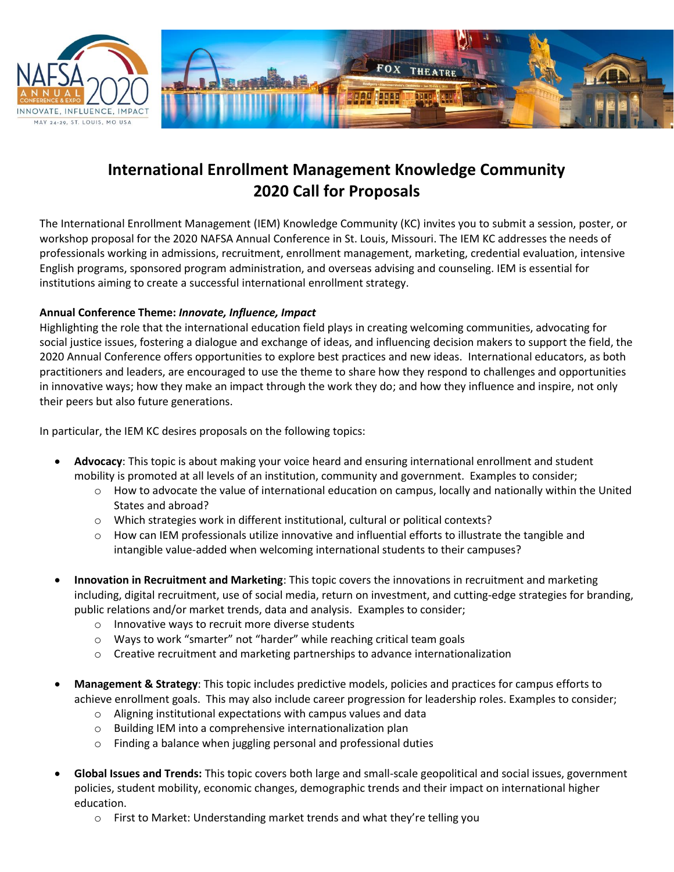



## **International Enrollment Management Knowledge Community 2020 Call for Proposals**

The International Enrollment Management (IEM) Knowledge Community (KC) invites you to submit a session, poster, or workshop proposal for the 2020 NAFSA Annual Conference in St. Louis, Missouri. The IEM KC addresses the needs of professionals working in admissions, recruitment, enrollment management, marketing, credential evaluation, intensive English programs, sponsored program administration, and overseas advising and counseling. IEM is essential for institutions aiming to create a successful international enrollment strategy.

## **Annual Conference Theme:** *Innovate, Influence, Impact*

Highlighting the role that the international education field plays in creating welcoming communities, advocating for social justice issues, fostering a dialogue and exchange of ideas, and influencing decision makers to support the field, the 2020 Annual Conference offers opportunities to explore best practices and new ideas. International educators, as both practitioners and leaders, are encouraged to use the theme to share how they respond to challenges and opportunities in innovative ways; how they make an impact through the work they do; and how they influence and inspire, not only their peers but also future generations.

In particular, the IEM KC desires proposals on the following topics:

- **Advocacy**: This topic is about making your voice heard and ensuring international enrollment and student mobility is promoted at all levels of an institution, community and government. Examples to consider;
	- $\circ$  How to advocate the value of international education on campus, locally and nationally within the United States and abroad?
	- o Which strategies work in different institutional, cultural or political contexts?
	- $\circ$  How can IEM professionals utilize innovative and influential efforts to illustrate the tangible and intangible value-added when welcoming international students to their campuses?
- **Innovation in Recruitment and Marketing**: This topic covers the innovations in recruitment and marketing including, digital recruitment, use of social media, return on investment, and cutting-edge strategies for branding, public relations and/or market trends, data and analysis. Examples to consider;
	- o Innovative ways to recruit more diverse students
	- o Ways to work "smarter" not "harder" while reaching critical team goals
	- $\circ$  Creative recruitment and marketing partnerships to advance internationalization
- **Management & Strategy**: This topic includes predictive models, policies and practices for campus efforts to achieve enrollment goals. This may also include career progression for leadership roles. Examples to consider;
	- o Aligning institutional expectations with campus values and data
	- o Building IEM into a comprehensive internationalization plan
	- o Finding a balance when juggling personal and professional duties
- **Global Issues and Trends:** This topic covers both large and small-scale geopolitical and social issues, government policies, student mobility, economic changes, demographic trends and their impact on international higher education.
	- o First to Market: Understanding market trends and what they're telling you